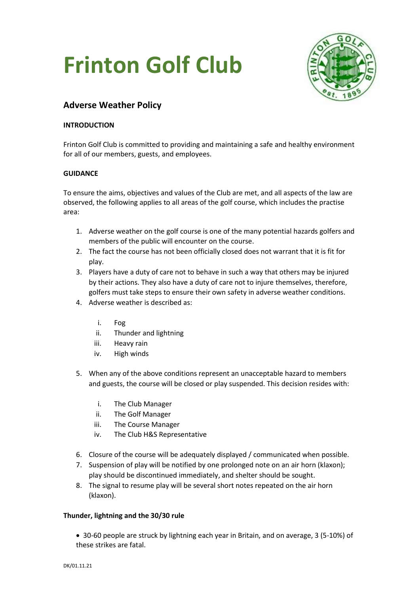# **Frinton Golf Club**



# **Adverse Weather Policy**

# **INTRODUCTION**

Frinton Golf Club is committed to providing and maintaining a safe and healthy environment for all of our members, guests, and employees.

## **GUIDANCE**

To ensure the aims, objectives and values of the Club are met, and all aspects of the law are observed, the following applies to all areas of the golf course, which includes the practise area:

- 1. Adverse weather on the golf course is one of the many potential hazards golfers and members of the public will encounter on the course.
- 2. The fact the course has not been officially closed does not warrant that it is fit for play.
- 3. Players have a duty of care not to behave in such a way that others may be injured by their actions. They also have a duty of care not to injure themselves, therefore, golfers must take steps to ensure their own safety in adverse weather conditions.
- 4. Adverse weather is described as:
	- i. Fog
	- ii. Thunder and lightning
	- iii. Heavy rain
	- iv. High winds
- 5. When any of the above conditions represent an unacceptable hazard to members and guests, the course will be closed or play suspended. This decision resides with:
	- i. The Club Manager
	- ii. The Golf Manager
	- iii. The Course Manager
	- iv. The Club H&S Representative
- 6. Closure of the course will be adequately displayed / communicated when possible.
- 7. Suspension of play will be notified by one prolonged note on an air horn (klaxon); play should be discontinued immediately, and shelter should be sought.
- 8. The signal to resume play will be several short notes repeated on the air horn (klaxon).

## **Thunder, lightning and the 30/30 rule**

• 30-60 people are struck by lightning each year in Britain, and on average, 3 (5-10%) of these strikes are fatal.